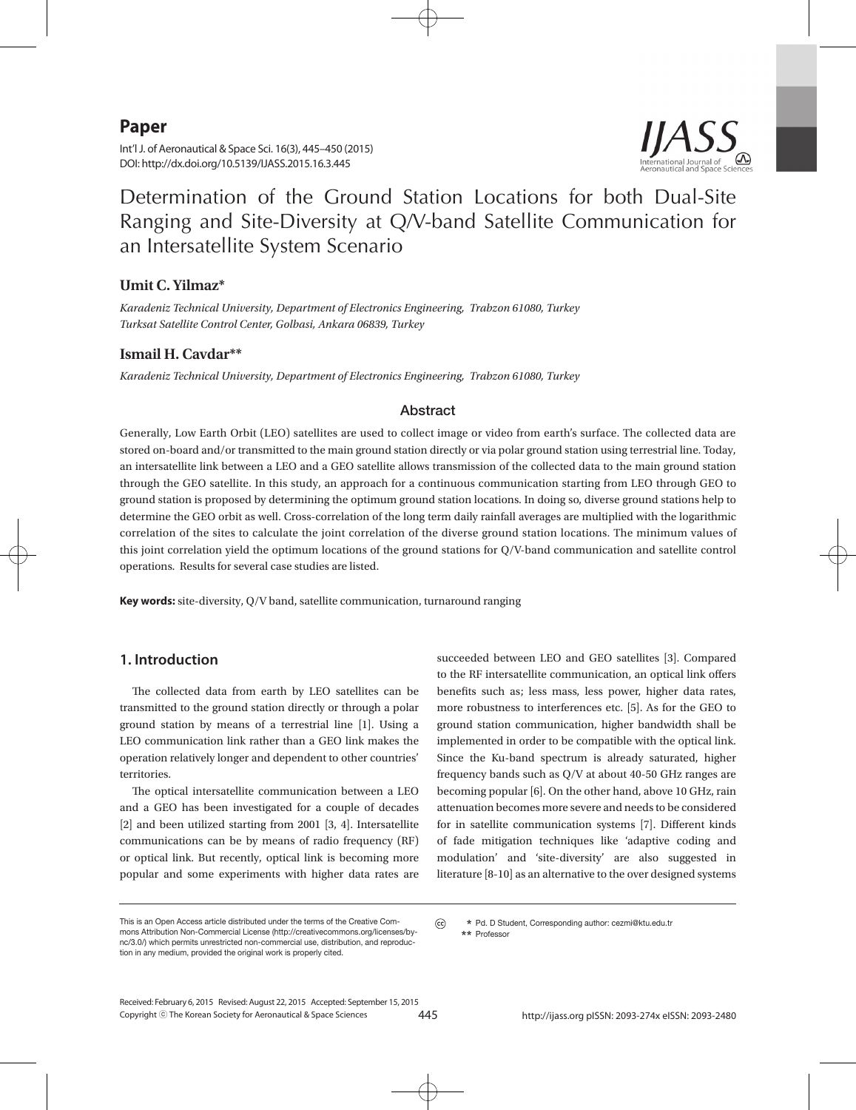**Paper**

Int'l J. of Aeronautical & Space Sci. 16(3), 445–450 (2015) DOI: http://dx.doi.org/10.5139/IJASS.2015.16.3.445



Determination of the Ground Station Locations for both Dual-Site Ranging and Site-Diversity at Q/V-band Satellite Communication for an Intersatellite System Scenario

## **Umit C. Yilmaz\***

*Karadeniz Technical University, Department of Electronics Engineering, Trabzon 61080, Turkey Turksat Satellite Control Center, Golbasi, Ankara 06839, Turkey*

### **Ismail H. Cavdar\*\***

*Karadeniz Technical University, Department of Electronics Engineering, Trabzon 61080, Turkey*

### Abstract

Generally, Low Earth Orbit (LEO) satellites are used to collect image or video from earth's surface. The collected data are stored on-board and/or transmitted to the main ground station directly or via polar ground station using terrestrial line. Today, an intersatellite link between a LEO and a GEO satellite allows transmission of the collected data to the main ground station through the GEO satellite. In this study, an approach for a continuous communication starting from LEO through GEO to ground station is proposed by determining the optimum ground station locations. In doing so, diverse ground stations help to determine the GEO orbit as well. Cross-correlation of the long term daily rainfall averages are multiplied with the logarithmic correlation of the sites to calculate the joint correlation of the diverse ground station locations. The minimum values of this joint correlation yield the optimum locations of the ground stations for Q/V-band communication and satellite control operations. Results for several case studies are listed.

**Key words:** site-diversity, Q/V band, satellite communication, turnaround ranging

## **1. Introduction**

The collected data from earth by LEO satellites can be transmitted to the ground station directly or through a polar ground station by means of a terrestrial line [1]. Using a LEO communication link rather than a GEO link makes the operation relatively longer and dependent to other countries' territories.

The optical intersatellite communication between a LEO and a GEO has been investigated for a couple of decades [2] and been utilized starting from 2001 [3, 4]. Intersatellite communications can be by means of radio frequency (RF) or optical link. But recently, optical link is becoming more popular and some experiments with higher data rates are

succeeded between LEO and GEO satellites [3]. Compared to the RF intersatellite communication, an optical link offers benefits such as; less mass, less power, higher data rates, more robustness to interferences etc. [5]. As for the GEO to ground station communication, higher bandwidth shall be implemented in order to be compatible with the optical link. Since the Ku-band spectrum is already saturated, higher frequency bands such as Q/V at about 40-50 GHz ranges are becoming popular [6]. On the other hand, above 10 GHz, rain attenuation becomes more severe and needs to be considered for in satellite communication systems [7]. Different kinds of fade mitigation techniques like 'adaptive coding and modulation' and 'site-diversity' are also suggested in literature [8-10] as an alternative to the over designed systems

This is an Open Access article distributed under the terms of the Creative Commons Attribution Non-Commercial License (http://creativecommons.org/licenses/bync/3.0/) which permits unrestricted non-commercial use, distribution, and reproduction in any medium, provided the original work is properly cited.

 $(c)$  **\*** Pd. D Student, Corresponding author: cezmi@ktu.edu.tr  **\*\*** Professor

Copyright ⓒ The Korean Society for Aeronautical & Space Sciences Received: February 6, 2015 Revised: August 22, 2015 Accepted: September 15, 2015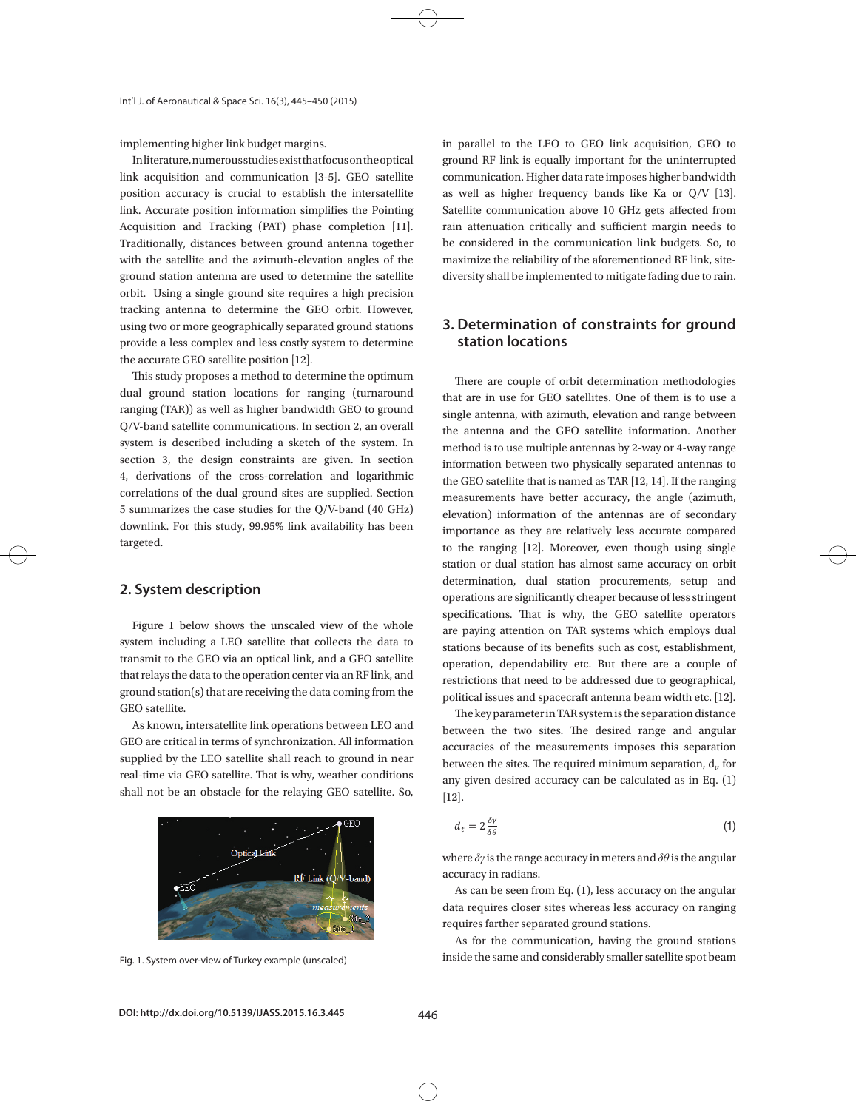implementing higher link budget margins.

In literature, numerous studies exist that focus on the optical link acquisition and communication [3-5]. GEO satellite position accuracy is crucial to establish the intersatellite link. Accurate position information simplifies the Pointing Acquisition and Tracking (PAT) phase completion [11]. Traditionally, distances between ground antenna together with the satellite and the azimuth-elevation angles of the ground station antenna are used to determine the satellite orbit. Using a single ground site requires a high precision tracking antenna to determine the GEO orbit. However, using two or more geographically separated ground stations provide a less complex and less costly system to determine the accurate GEO satellite position [12].

This study proposes a method to determine the optimum dual ground station locations for ranging (turnaround ranging (TAR)) as well as higher bandwidth GEO to ground Q/V-band satellite communications. In section 2, an overall system is described including a sketch of the system. In section 3, the design constraints are given. In section 4, derivations of the cross-correlation and logarithmic correlations of the dual ground sites are supplied. Section 5 summarizes the case studies for the Q/V-band (40 GHz) downlink. For this study, 99.95% link availability has been targeted.

### **2. System description**

Figure 1 below shows the unscaled view of the whole  $\frac{1}{a}$ system including a LEO satellite that collects the data to transmit to the GEO via an optical link, and a GEO satellite  $\frac{80}{\alpha}$ that relays the data to the operation center via an RF link, and  $\frac{1}{r}$ ground station(s) that are receiving the data coming from the  $\begin{array}{c}\n\cdot\quad\text{and} \\
\cdot\quad\text{and} \\
\cdot\quad\text{and} \\
\cdot\quad\text{and} \\
\cdot\quad\text{and} \\
\cdot\quad\text{and} \\
\cdot\quad\text{and} \\
\cdot\quad\text{and} \\
\cdot\quad\text{and} \\
\cdot\quad\text{and} \\
\cdot\quad\text{and} \\
\cdot\quad\text{and} \\
\cdot\quad\text{and} \\
\cdot\quad\text{and} \\
\cdot\quad\text{and} \\$ GEO satellite.

As known, intersatellite link operations between LEO and GEO are critical in terms of synchronization. All information supplied by the LEO satellite shall reach to ground in near  $\hskip1cm \hskip1cm_{\rm b}$ real-time via GEO satellite. That is why, weather conditions as shall not be an obstacle for the relaying GEO satellite. So,



Fig. 1. System over-view of Turkey example (unscaled)

in parallel to the LEO to GEO link acquisition, GEO to ground RF link is equally important for the uninterrupted communication. Higher data rate imposes higher bandwidth as well as higher frequency bands like Ka or Q/V [13]. Satellite communication above 10 GHz gets affected from rain attenuation critically and sufficient margin needs to be considered in the communication link budgets. So, to maximize the reliability of the aforementioned RF link, sitediversity shall be implemented to mitigate fading due to rain.

## **3. Determination of constraints for ground station locations**

There are couple of orbit determination methodologies that are in use for GEO satellites. One of them is to use a single antenna, with azimuth, elevation and range between the antenna and the GEO satellite information. Another method is to use multiple antennas by 2-way or 4-way range information between two physically separated antennas to the GEO satellite that is named as TAR [12, 14]. If the ranging measurements have better accuracy, the angle (azimuth,  $e$ levation) information of the antennas are of secondary importance as they are relatively less accurate compared to the ranging [12]. Moreover, even though using single  $\bigcap$ station or dual station has almost same accuracy on orbit  $\forall$ determination, dual station procurements, setup and operations are significantly cheaper because of less stringent specifications. That is why, the GEO satellite operators procurements, setup and operations, setup and operations are paying attention on TAR systems which employs dual stations because of its benefits such as cost, establishment, operation, dependability etc. But there are a couple of because, the permanent, once the as consider the complete of its benefits such as complete of the restrictions that need to be addressed due to geographical, political issues and spacecraft antenna beam width etc.  $[12]$ .

The key parameter in TAR system is the separation distance between the two sites. The desired range and angular accuracies of the measurements imposes this separation between the sites. The required minimum separation,  $\boldsymbol{\mathrm{d}}_{v}$  for any given desired accuracy can be calculated as in Eq.  $(1)$ [12].  $[12]$ .

$$
d_t = 2 \frac{\delta \gamma}{\delta \theta} \tag{1}
$$

where *δγ* is the range accuracy in meters and *δθ* is the angular accuracy in radians.

As can be seen from Eq.  $(1)$ , less accuracy on the angular data requires closer sites whereas less accuracy on ranging requires farther separated ground stations.

As for the communication, having the ground stations inside the same and considerably smaller satellite spot beam

 $\mathbf{1}$ . Satellite communication above 10 GHz gets affected from rain attenuation critically and rain attenuation critically and rain attenuation critically and rain attenuation critically and rain attenuation critically sufficient matrix  $\frac{1}{\sqrt{1-\frac{1}{\sqrt{1-\frac{1}{\sqrt{1-\frac{1}{\sqrt{1-\frac{1}{\sqrt{1-\frac{1}{\sqrt{1-\frac{1}{\sqrt{1-\frac{1}{\sqrt{1-\frac{1}{\sqrt{1-\frac{1}{\sqrt{1-\frac{1}{\sqrt{1-\frac{1}{\sqrt{1-\frac{1}{\sqrt{1-\frac{1}{\sqrt{1-\frac{1}{\sqrt{1-\frac{1}{\sqrt{1-\frac{1}{\sqrt{1-\frac{1}{\sqrt{1-\frac{1}{\sqrt{1-\frac{1}{\sqrt{1-\frac{1}{\sqrt{1-\frac{1}{\sqrt{1-\frac{1$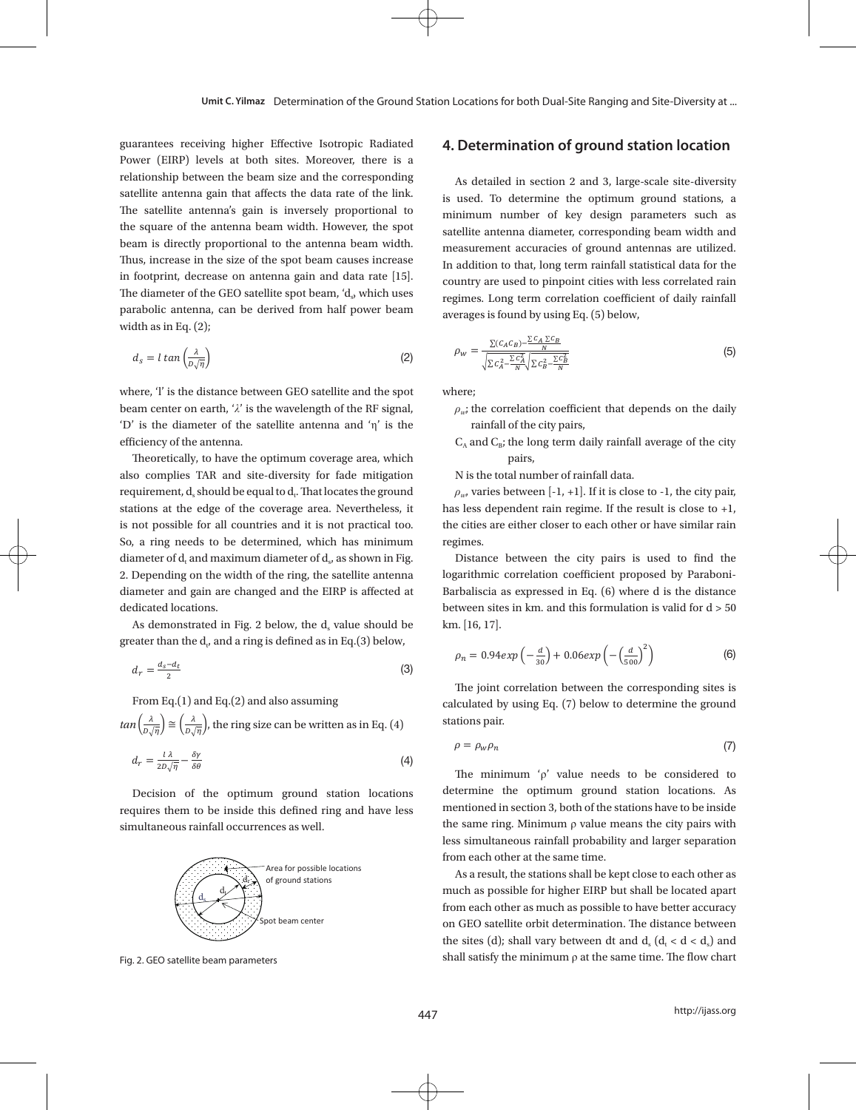guarantees receiving higher Effective Isotropic Radiated **4. Determination of a** Power (EIRP) levels at both sites. Moreover, there is a relationship between the beam size and the corresponding and antenna gain and the spot beam size and the corresponding and  $\frac{1}{2}$  and  $\frac{1}{2}$  and  $\frac{1}{2}$  and  $\frac{1}{2}$  and  $\frac{1}{2}$  and  $\frac{1}{2}$  and  $\frac{1}{2}$  and satellite antenna gain that affects the data rate of the link.  $\frac{1}{18}$  used To determine the The satellite antenna's gain is inversely proportional to the square different spain to inversely proportional to minimum number of key the square of the antenna beam width. However, the spot statellite antenna diameter beam is directly proportional to the antenna beam width. measurement accuracies of<br>Thus, increase in the size of the spot beam causes increase  $\frac{1}{2}$  is addition to that long term in footprint, decrease on antenna gain and data rate [15]. country are used to pinpoint The diameter of the GEO satellite spot beam, ' $d<sub>s</sub>$ ', which uses parabolic antenna, can be derived from half power beam<br>Parabolic antenna, can be derived from half power beam width as in Eq.  $(2)$ ;  $T$  theoretically, the optimum coverage area, which also contributed area, which also contributed  $T$ 

$$
\rho_{w} = \frac{\frac{1}{2}(\mathcal{S}_{A} - \mathcal{S}_{D})}{\sqrt{\sum c_{A}^{2} - \frac{\sum c_{A}^{2}}{N} \sum c_{B}^{2} - \frac{\sum c_{B}^{2}}{N}}}
$$

where, 'l' is the distance between GEO satellite and the spot where; beam center on earth, ' $\lambda$ ' is the wavelength of the RF signal,  $\rho_w$ ; the correlation coeffici  $\Delta$  'D' is the diameter of the satellite antenna and ' $\eta$ ' is the rainfall of the city pairs efficiency of the antenna. coverage area. Nevertheless, it is not possible for all countries and it is not practical too. So, a ring needs coverage area. Nevertheless, it is not possible for all countries and it is not practical too. So, a ring needs

> medical to determine the equal to determine of the ground state diversity for fade mitigation and site-diversity for fade mitigation N is the total number of ra requirement, d<sub>s</sub> should be equal to d<sub>t</sub>. That locates the ground  $\rho_w$ , varies between [-1, +1] is not possible for all countries and it is not practical too. This miss dependent run region is not possible for all countries and it is not practical too. So, a ring needs to be determined, which has minimum regimes. diameter and gain are changed and the EIRP is affected at Barbal Theoretically, to have the optimum coverage area, which stations at the edge of the coverage area. Nevertheless, it  $\frac{1}{2}$ diameter of  $d_t$  and maximum diameter of  $d_s$ , as shown in Fig. 2. Depending on the width of the ring, the satellite antenna dedicated locations. **increase in the spot beam causes in footprint, decrease in footprint, decrease in footprint, decrease in footprint, decrease in footprint, decrease in footprint, decrease in footprint, decrease in fo**

greater than the  $d_v$  and a ring is defined as in Eq.(3) below, As demonstrated in Fig. 2 below, the  $d_s$  value should be  $km$ . [16, 17].

(3) 
$$
\mu_n = 0.94 \exp\left(-\frac{30}{30}\right) + 0.00
$$

From Eq.(1) and Eq.(2) and also assuming  $C_1$ 

*tan*

affected at dedicated locations.

tan 
$$
\frac{1}{2}
$$
, the ring size can be written as in Eq. (4)   
  $\rho = \rho_w \rho_n$   
(4)  $\frac{1}{2}$ 

requires them to be inside this defined ring and have less mentioned in section 3, both simultaneous rainfall occurrences as well. the satellite and the satellite antenna diameter and the changed and the E Decision of the optimum ground station locations determine the optimum



 $\overline{\mathcal{A}}$ 

Decision of the optimum ground station locations requires them to be inside this defined ring and have

Fig. 2. GEO satellite beam parameters

# **4. Determination of ground station location**

proportional to the antenna beam width. measurement accuracies of ground antennas are utilized. As detailed in section 2 and 3, large-scale site-diversity is used. To determine the optimum ground stations, a minimum number of key design parameters such as **4. Determination C Determination C** *Determination of*  $\alpha$  *B Consequent <b>station B a.* **<b>***B B a.* **<b>***B B B B B B B B B B B B B B B* In addition to that, long term rainfall statistical data for the country are used to pinpoint cities with less correlated rain regimes. Long term correlation coefficient of daily rainfall averages is found by using Eq. (5) below, detailed in securities in section 3, large-site sites in section is used. begins width and measurement of dany rannal stations, a minimum number of key design parameters such as satellite and some antenna diameter, corresponding and

$$
\rho_{w} = \frac{\sum (C_{A}C_{B}) - \frac{\sum C_{A}}{N} \frac{\sum C_{B}}{N}}{\sqrt{\sum c_{A}^{2} - \frac{\sum C_{B}^{2}}{N} \sqrt{\sum c_{B}^{2} - \frac{\sum C_{B}^{2}}{N}}}}
$$
(5)

where; where;  $\ddot{\textbf{e}}$ ;

- where;<br>  $\rho_w$ ; the correlation coefficient that depends on the daily rainfall of the city pairs, orrelation coeffici  $\mathbf{u}$
- efficiency of the antenna.<br>  $C_A$  and  $C_B$ ; the long term daily rainfall average of the city pairs,  $\beta$  pairs,

N is the total number of rainfall data.

 $\rho_w$ , varies between [-1, +1]. If it is close to -1, the city pair, has less dependent rain regime. If the result is close to  $+1$ ,  $\mathbf{p}$  pairs is used to find the city pairs is used to find the logarithmic correlation coefficient proposed by  $\mathbf{p}$ the cities are either closer to each other or have similar rain regimes. can also the local manner of the long term daily rainfall average of the city pairs, and the city pairs, and the city pairs, and the city pairs, and the city pairs, and the city pairs, and the city pairs, and the city pair  $\frac{1}{2}$ . If it is close to -1, the city pair, has less dependent rain regime. If the results dependent rain regime.

Distance between the city pairs is used to find the  $\frac{1}{2}$  Barbaliscia as expressed in Eq. (6) where d is the distance  $km. [16, 17]$ . between sites in km, and this formulation is valid for  $d > 50$ <br>km, [16, 17].  $\frac{6}{10}$  vand for  $a > 50$ logarithmic correlation coefficient proposed by Paraboniformulation is valid for d > 50 km. [16, 17].

$$
\rho_n = 0.94 \exp\left(-\frac{d}{30}\right) + 0.06 \exp\left(-\left(\frac{d}{500}\right)^2\right) \tag{6}
$$

 $Eq.(1)$  and Eq. (2) and also assuming calculated by using Eq. (7) below to determine the ground 4) stations pair. The joint correlation between the corresponding sites is

$$
\rho = \rho_w \rho_n \tag{7}
$$

less simultaneous rainfall probability and larger separation (4)  $(4)$  The minimum 'p' value needs to be considered to mentioned in section 3, both of the stations have to be inside determine the optimum ground station locations. As the same ring. Minimum ρ value means the city pairs with from each other at the same time. coverage area. Nevertheless, it is not possible for all countries and it is not practical too. So, a ring needs

> $\overbrace{\cdots}$  Area for possible locations<br>As a result, the stations shall be kept close to each other as much as possible for higher EIRP but shall be located apart from each other as much as possible to have better accuracy on GEO satellite orbit determination. The distance between the sites (d); shall vary between dt and  $d_s$  ( $d_t < d < d_s$ ) and shall satisfy the minimum  $\rho$  at the same time. The flow chart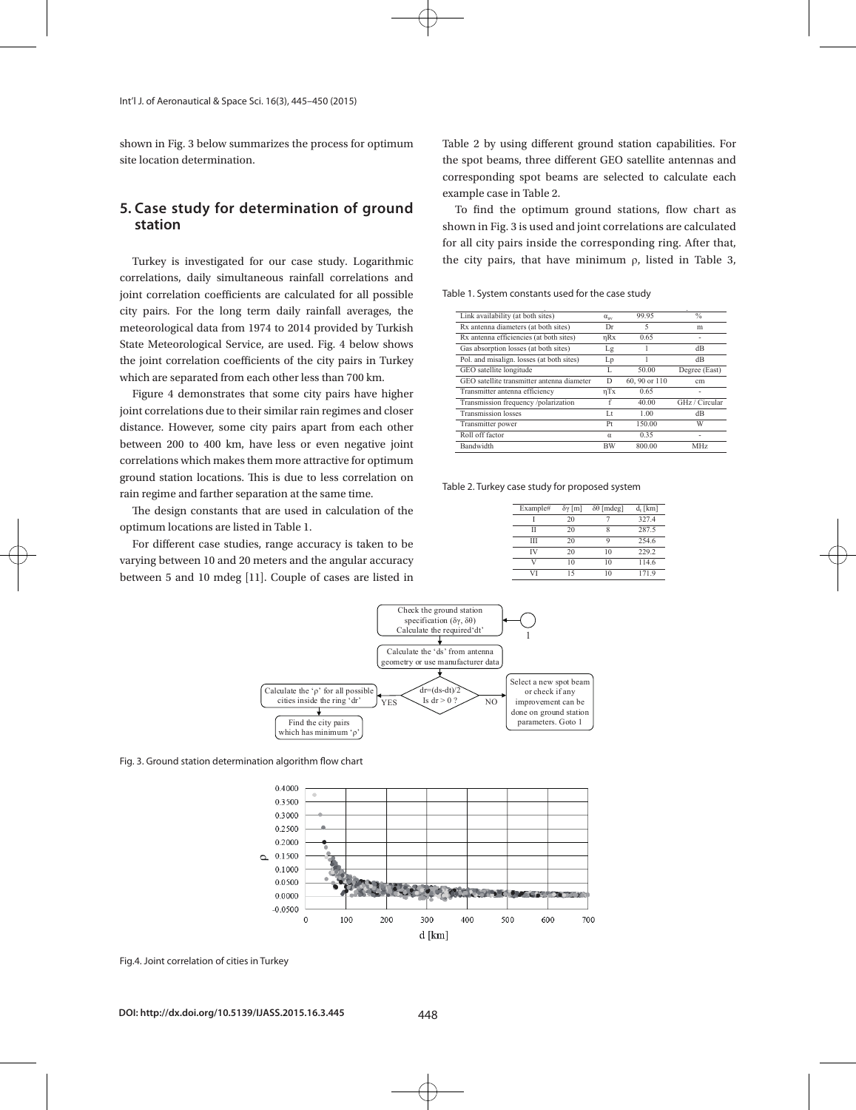shown in Fig. 3 below summarizes the process for optimum site location determination.

## **5. Case study for determination of ground station**

Turkey is investigated for our case study. Logarithmic correlations, daily simultaneous rainfall correlations and joint correlation coefficients are calculated for all possible city pairs. For the long term daily rainfall averages, the meteorological data from 1974 to 2014 provided by Turkish State Meteorological Service, are used. Fig. 4 below shows the joint correlation coefficients of the city pairs in Turkey which are separated from each other less than 700 km.  $T$  design constants that are used in calculation of the optimum location of the optimum locations are listed in Table 1.

Figure 4 demonstrates that some city pairs have higher joint correlations due to their similar rain regimes and closer distance. However, some city pairs apart from each other between 200 to 400 km, have less or even negative joint correlations which makes them more attractive for optimum ground station locations. This is due to less correlation on rain regime and farther separation at the same time.

The design constants that are used in calculation of the  $\frac{1}{\text{Example 4}} \frac{1}{\delta \gamma \text{ [m]}} \frac{\delta \theta \text{ [mdeg]}}{\delta \gamma \text{ [m]}}$ optimum locations are listed in Table 1.  $\frac{1}{\text{II}} \frac{20}{20} \frac{1}{8}$ 

For different case studies, range accuracy is taken to be  $\frac{dl}{dx} = \frac{1}{20}$ varying between 10 and 20 meters and the angular accuracy  $\frac{V}{\sqrt{10}}$  10  $\frac{10}{\sqrt{10}}$ between 5 and 10 mdeg [11]. Couple of cases are listed in

Table 2 by using different ground station capabilities. For the spot beams, three different GEO satellite antennas and corresponding spot beams are selected to calculate each example case in Table 2.

**und** and the optimum ground stations, flow chart as shown in Fig. 3 is used and joint correlations are calculated for all city pairs inside the corresponding ring. After that,  $n<sub>min</sub>$  the city pairs, that have minimum  $ρ$ , listed in Table 3,

#### Table 1. System constants used for the case study

| $\alpha_{av}$ | 99 95         | $\frac{0}{0}$            |
|---------------|---------------|--------------------------|
| Dr            | 5             | m                        |
| $\eta Rx$     | 0.65          |                          |
| Lg            |               | dB                       |
| Lp            |               | dB                       |
| L             | 50.00         | Degree (East)            |
| D             | 60, 90 or 110 | cm                       |
| $\eta$ Tx     | 0.65          | $\overline{\phantom{0}}$ |
|               | 40.00         | GHz / Circular           |
| Lt            | 1.00          | dB                       |
| Pt            | 150.00        | W                        |
| $\alpha$      | 0.35          |                          |
| BW            | 800.00        | MHz                      |
|               |               |                          |

Table 2. Turkey case study for proposed system

| f the | Example# | $\delta \gamma$ [m] | $δθ$ [mdeg] | $d_t$ [km] |
|-------|----------|---------------------|-------------|------------|
|       |          | 20                  |             | 327.4      |
|       |          | 20                  | 8           | 287.5      |
| o be  | Ш        | 20                  |             | 254.6      |
|       | IV       | 20                  | 10          | 229.2      |
| racy  |          | 10                  | 10          | 114.6      |
| ed in | VI       | 15                  | 10          | 171.9      |
|       |          |                     |             |            |



Fig.3. Ground station determination algorithm flow chart Fig. 3. Ground station determination algorithm flow chart



Fig.4. Joint correlation of cities in Turkey

 $\Box$  $\Box$ Rx antenna diameters (at both sites) Dr 5 m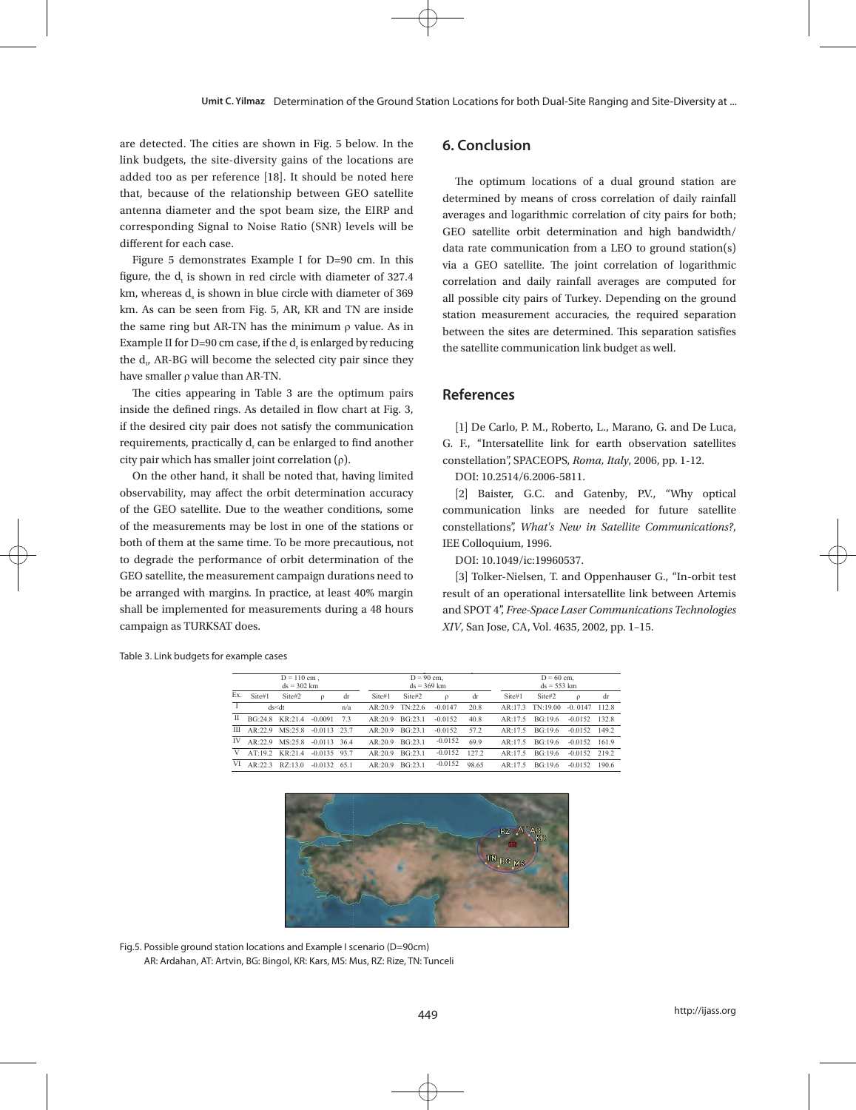are detected. The cities are shown in Fig. 5 below. In the link budgets, the site-diversity gains of the locations are added too as per reference [18]. It should be noted here that, because of the relationship between GEO satellite antenna diameter and the spot beam size, the EIRP and corresponding Signal to Noise Ratio (SNR) levels will be different for each case.

Figure 5 demonstrates Example I for D=90 cm. In this figure, the  $d_t$  is shown in red circle with diameter of 327.4 km, whereas  $d_s$  is shown in blue circle with diameter of 369 km. As can be seen from Fig. 5, AR, KR and TN are inside the same ring but AR-TN has the minimum  $ρ$  value. As in Example II for D=90 cm case, if the  $d<sub>r</sub>$  is enlarged by reducing the  $d_v$  AR-BG will become the selected city pair since they have smaller ρ value than AR-TN.

The cities appearing in Table 3 are the optimum pairs inside the defined rings. As detailed in flow chart at Fig. 3, if the desired city pair does not satisfy the communication requirements, practically  $d_r$  can be enlarged to find another  $\hspace{1cm} G.$  F., "Intersation city pair which has smaller joint correlation  $(\rho)$ .  $\mathcal{L}_{\mathcal{D}}$  [maple  $\mathcal{L}_{\mathcal{D}}$  degay degree  $\mathcal{L}_{\mathcal{D}}$ 

On the other hand, it shall be noted that, having limited DOI: 10 observability, may affect the orbit determination accuracy [2] Bai of the GEO satellite. Due to the weather conditions, some commun of the measurements may be lost in one of the stations or both of them at the same time. To be more precautious, not IEE Colloquium, 1996. to degrade the performance of orbit determination of the DOI: 10.1049/ic:19960537. GEO satellite, the measurement campaign durations need to [3] Tolker-Nielsen, T. and Oppe be arranged with margins. In practice, at least 40% margin shall be implemented for measurements during a 48 hours campaign as TURKSAT does.  $\overline{a}$  $\frac{1}{2}$   $\frac{1}{2}$   $\frac{1}{2}$   $\frac{1}{2}$   $\frac{1}{2}$   $\frac{1}{2}$   $\frac{1}{2}$   $\frac{1}{2}$   $\frac{1}{2}$   $\frac{1}{2}$   $\frac{1}{2}$   $\frac{1}{2}$   $\frac{1}{2}$   $\frac{1}{2}$   $\frac{1}{2}$   $\frac{1}{2}$   $\frac{1}{2}$   $\frac{1}{2}$   $\frac{1}{2}$   $\frac{1}{2}$   $\frac{1}{2}$   $\frac{1}{2}$   $\sigma$ Is, some communi-

## **6. Conclusion**

The optimum locations of a dual ground station are determined by means of cross correlation of daily rainfall averages and logarithmic correlation of city pairs for both; GEO satellite orbit determination and high bandwidth/ data rate communication from a LEO to ground station(s) via a GEO satellite. The joint correlation of logarithmic correlation and daily rainfall averages are computed for all possible city pairs of Turkey. Depending on the ground station measurement accuracies, the required separation between the sites are determined. This separation satisfies the satellite communication link budget as well.

### **References**

[1] De Carlo, P. M., Roberto, L., Marano, G. and De Luca, find another G. F., "Intersatellite link for earth observation satellites constellation", SPACEOPS, *Roma, Italy*, 2006, pp. 1-12.

DOI: 10.2514/6.2006-5811.

[2] Baister, G.C. and Gatenby, P.V., "Why optical 1s, some communication links are needed for future satellite ay be lost in one of the stations or constellations", *What's New in Satellite Communications?*, IEE Colloquium, 1996.  $\sum_{i=1}^{\infty}$ 

DOI: 10.1049/ic:19960537.

 $\mu$  irement campaign durations need to  $\qquad \qquad \text{[3] Tolkien, T. and Oppenhauser G., "In-orbit test" }$ gins. In practice, at least 40% margin result of an operational intersatellite link between Artemis for measurements during a 48 hours and SPOT 4", *Free-Space Laser Communications Technologies* relationship between GEO satellite and the spot between GEO satellite and the spot between  $XIV$ , San Jose, CA, Vol. 4635, 2002, pp. 1–15.

Table 3. Link budgets for example cases

| $D = 110$ cm,<br>$ds = 302$ km |          |          |           |      |        | $D = 90$ cm,<br>$ds = 369$ km |           |       |         | $D = 60$ cm.<br>$ds = 553$ km |              |       |  |
|--------------------------------|----------|----------|-----------|------|--------|-------------------------------|-----------|-------|---------|-------------------------------|--------------|-------|--|
| Ex.                            | Site#1   | Site#2   | o         | dr   | Site#1 | Site#2                        |           | dr    | Site#1  | Site#2                        | $\mathsf{D}$ | dr    |  |
|                                |          | $ds<$ dt |           | n/a  | AR.209 | $TN-226$                      | $-0.0147$ | 20.8  | AR:173  | TN:1900                       | $-0.0147$    | 112.8 |  |
| П                              | BG:248   | KR:214   | $-0.0091$ | 73   | AR 209 | BG:231                        | $-0.0152$ | 40.8  | AR:17.5 | BG:196                        | $-0.0152$    | 132.8 |  |
| Ш                              | AR:22.9  | MS:25.8  | $-0.0113$ | 23.7 | AR 209 | BG:23.1                       | $-0.0152$ | 57.2  | AR:17.5 | BG:196                        | $-0.0152$    | 1492  |  |
| IV                             | AR.22.9  | MS:25.8  | $-0.0113$ | 364  | AR.209 | BG:23.1                       | $-0.0152$ | 699   | AR:17.5 | BG:196                        | $-0.0152$    | 1619  |  |
| V                              | $AT-192$ | KR:214   | $-0.0135$ | 937  | AR.209 | BG:23.1                       | $-0.0152$ | 1272  | AR:17.5 | BG:196                        | $-0.0152$    | 2192  |  |
| VI                             | AR.223   | RZ:130   | $-0.0132$ | 65.1 | AR.209 | $BG-231$                      | $-0.0152$ | 98.65 | AR:17.5 | BG:196                        | $-0.0152$    | 190.6 |  |



Fig. 5. Possible ground station locations and Example I scenario (D=90cm) Fig. 5. Possible ground station locations and Example I scenario (D=90cm) Fig.5. Possible ground station locations and Example I scenario (D=90cm) AR: Ardahan, AT: Artvin, BG: Bingol, KR: Kars, MS: Mus, RZ: Rize, TN: Tunceli